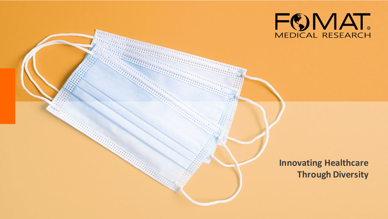

**Innovating Healthcare Through Diversity**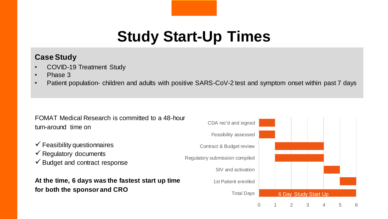# **Study Start-Up Times**

#### **Case Study**

- COVID-19 Treatment Study
- Phase 3
- Patient population- children and adults with positive SARS-CoV-2 test and symptom onset within past 7 days

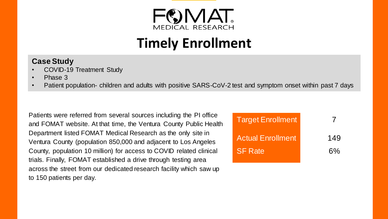

## **Timely Enrollment**

#### **Case Study**

- COVID-19 Treatment Study
- Phase 3
- Patient population- children and adults with positive SARS-CoV-2 test and symptom onset within past 7 days

Patients were referred from several sources including the PI office and FOMAT website. At that time, the Ventura County Public Health Department listed FOMAT Medical Research as the only site in Ventura County (population 850,000 and adjacent to Los Angeles County, population 10 million) for access to COVID related clinical trials. Finally, FOMAT established a drive through testing area across the street from our dedicated research facility which saw up to 150 patients per day.

| <b>Target Enrollment</b> |     |
|--------------------------|-----|
| <b>Actual Enrollment</b> | 149 |
| <b>SF Rate</b>           | 6%  |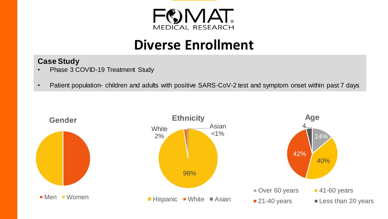

### **Diverse Enrollment**

#### **Case Study**

- Phase 3 COVID-19 Treatment Study
- Patient population- children and adults with positive SARS-CoV-2 test and symptom onset within past 7 days